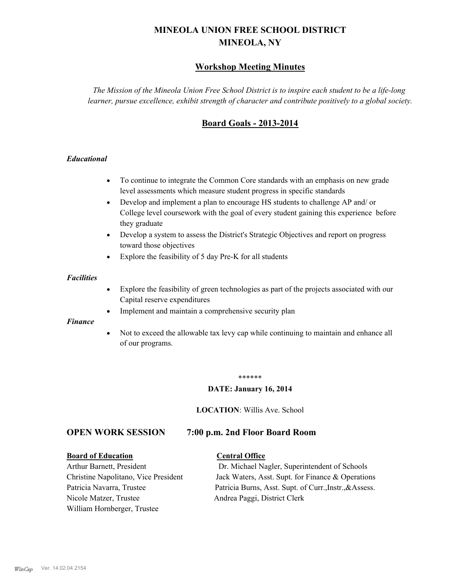# **MINEOLA UNION FREE SCHOOL DISTRICT MINEOLA, NY**

# **Workshop Meeting Minutes**

*The Mission of the Mineola Union Free School District is to inspire each student to be a life-long learner, pursue excellence, exhibit strength of character and contribute positively to a global society.*

# **Board Goals - 2013-2014**

## *Educational*

- · To continue to integrate the Common Core standards with an emphasis on new grade level assessments which measure student progress in specific standards
- · Develop and implement a plan to encourage HS students to challenge AP and/ or College level coursework with the goal of every student gaining this experience before they graduate
- Develop a system to assess the District's Strategic Objectives and report on progress toward those objectives
- · Explore the feasibility of 5 day Pre-K for all students

#### *Facilities*

- · Explore the feasibility of green technologies as part of the projects associated with our Capital reserve expenditures
- Implement and maintain a comprehensive security plan

#### *Finance*

• Not to exceed the allowable tax levy cap while continuing to maintain and enhance all of our programs.

#### \*\*\*\*\*\*

#### **DATE: January 16, 2014**

**LOCATION**: Willis Ave. School

# **OPEN WORK SESSION 7:00 p.m. 2nd Floor Board Room**

#### **Board of Education Central Office**

Nicole Matzer, Trustee Andrea Paggi, District Clerk William Hornberger, Trustee

Arthur Barnett, President Dr. Michael Nagler, Superintendent of Schools Christine Napolitano, Vice President Jack Waters, Asst. Supt. for Finance & Operations Patricia Navarra, Trustee Patricia Burns, Asst. Supt. of Curr., Instr., &Assess.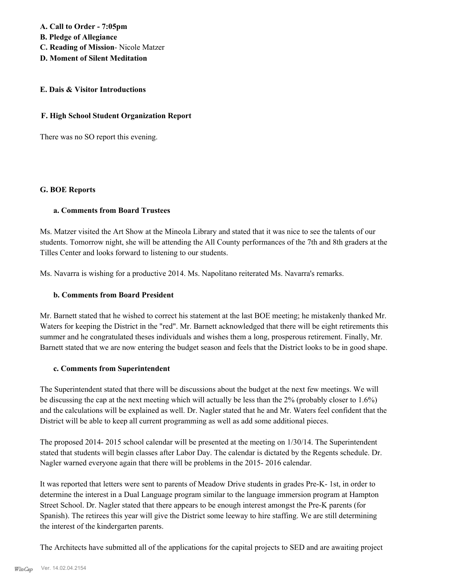**A. Call to Order - 7:05pm B. Pledge of Allegiance C. Reading of Mission**- Nicole Matzer **D. Moment of Silent Meditation**

# **E. Dais & Visitor Introductions**

#### **F. High School Student Organization Report**

There was no SO report this evening.

#### **G. BOE Reports**

#### **a. Comments from Board Trustees**

Ms. Matzer visited the Art Show at the Mineola Library and stated that it was nice to see the talents of our students. Tomorrow night, she will be attending the All County performances of the 7th and 8th graders at the Tilles Center and looks forward to listening to our students.

Ms. Navarra is wishing for a productive 2014. Ms. Napolitano reiterated Ms. Navarra's remarks.

#### **b. Comments from Board President**

Mr. Barnett stated that he wished to correct his statement at the last BOE meeting; he mistakenly thanked Mr. Waters for keeping the District in the "red". Mr. Barnett acknowledged that there will be eight retirements this summer and he congratulated theses individuals and wishes them a long, prosperous retirement. Finally, Mr. Barnett stated that we are now entering the budget season and feels that the District looks to be in good shape.

#### **c. Comments from Superintendent**

The Superintendent stated that there will be discussions about the budget at the next few meetings. We will be discussing the cap at the next meeting which will actually be less than the 2% (probably closer to 1.6%) and the calculations will be explained as well. Dr. Nagler stated that he and Mr. Waters feel confident that the District will be able to keep all current programming as well as add some additional pieces.

The proposed 2014- 2015 school calendar will be presented at the meeting on 1/30/14. The Superintendent stated that students will begin classes after Labor Day. The calendar is dictated by the Regents schedule. Dr. Nagler warned everyone again that there will be problems in the 2015- 2016 calendar.

It was reported that letters were sent to parents of Meadow Drive students in grades Pre-K- 1st, in order to determine the interest in a Dual Language program similar to the language immersion program at Hampton Street School. Dr. Nagler stated that there appears to be enough interest amongst the Pre-K parents (for Spanish). The retirees this year will give the District some leeway to hire staffing. We are still determining the interest of the kindergarten parents.

The Architects have submitted all of the applications for the capital projects to SED and are awaiting project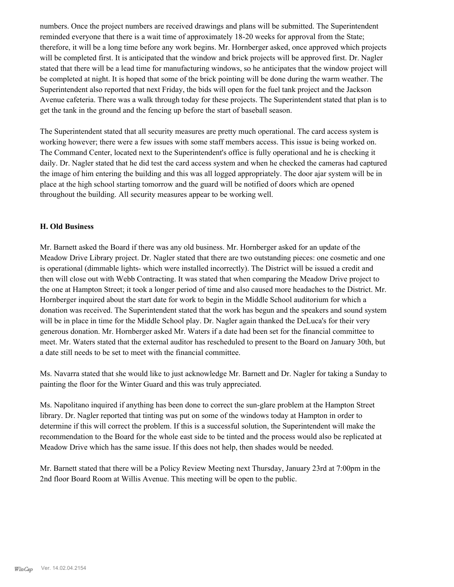numbers. Once the project numbers are received drawings and plans will be submitted. The Superintendent reminded everyone that there is a wait time of approximately 18-20 weeks for approval from the State; therefore, it will be a long time before any work begins. Mr. Hornberger asked, once approved which projects will be completed first. It is anticipated that the window and brick projects will be approved first. Dr. Nagler stated that there will be a lead time for manufacturing windows, so he anticipates that the window project will be completed at night. It is hoped that some of the brick pointing will be done during the warm weather. The Superintendent also reported that next Friday, the bids will open for the fuel tank project and the Jackson Avenue cafeteria. There was a walk through today for these projects. The Superintendent stated that plan is to get the tank in the ground and the fencing up before the start of baseball season.

The Superintendent stated that all security measures are pretty much operational. The card access system is working however; there were a few issues with some staff members access. This issue is being worked on. The Command Center, located next to the Superintendent's office is fully operational and he is checking it daily. Dr. Nagler stated that he did test the card access system and when he checked the cameras had captured the image of him entering the building and this was all logged appropriately. The door ajar system will be in place at the high school starting tomorrow and the guard will be notified of doors which are opened throughout the building. All security measures appear to be working well.

## **H. Old Business**

Mr. Barnett asked the Board if there was any old business. Mr. Hornberger asked for an update of the Meadow Drive Library project. Dr. Nagler stated that there are two outstanding pieces: one cosmetic and one is operational (dimmable lights- which were installed incorrectly). The District will be issued a credit and then will close out with Webb Contracting. It was stated that when comparing the Meadow Drive project to the one at Hampton Street; it took a longer period of time and also caused more headaches to the District. Mr. Hornberger inquired about the start date for work to begin in the Middle School auditorium for which a donation was received. The Superintendent stated that the work has begun and the speakers and sound system will be in place in time for the Middle School play. Dr. Nagler again thanked the DeLuca's for their very generous donation. Mr. Hornberger asked Mr. Waters if a date had been set for the financial committee to meet. Mr. Waters stated that the external auditor has rescheduled to present to the Board on January 30th, but a date still needs to be set to meet with the financial committee.

Ms. Navarra stated that she would like to just acknowledge Mr. Barnett and Dr. Nagler for taking a Sunday to painting the floor for the Winter Guard and this was truly appreciated.

Ms. Napolitano inquired if anything has been done to correct the sun-glare problem at the Hampton Street library. Dr. Nagler reported that tinting was put on some of the windows today at Hampton in order to determine if this will correct the problem. If this is a successful solution, the Superintendent will make the recommendation to the Board for the whole east side to be tinted and the process would also be replicated at Meadow Drive which has the same issue. If this does not help, then shades would be needed.

Mr. Barnett stated that there will be a Policy Review Meeting next Thursday, January 23rd at 7:00pm in the 2nd floor Board Room at Willis Avenue. This meeting will be open to the public.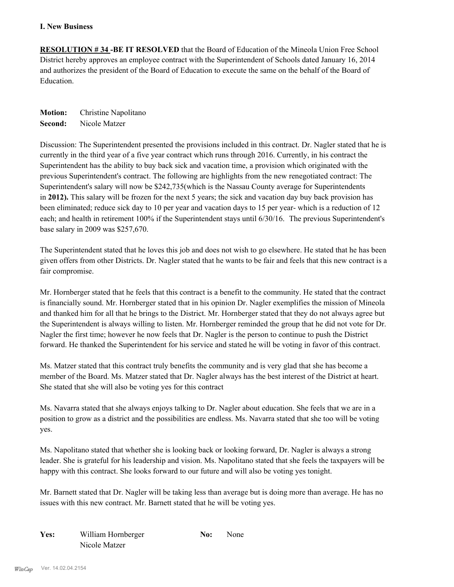## **I. New Business**

**RESOLUTION # 34 -BE IT RESOLVED** that the Board of Education of the Mineola Union Free School District hereby approves an employee contract with the Superintendent of Schools dated January 16, 2014 and authorizes the president of the Board of Education to execute the same on the behalf of the Board of Education.

**Motion:** Christine Napolitano **Second:** Nicole Matzer

Discussion: The Superintendent presented the provisions included in this contract. Dr. Nagler stated that he is currently in the third year of a five year contract which runs through 2016. Currently, in his contract the Superintendent has the ability to buy back sick and vacation time, a provision which originated with the previous Superintendent's contract. The following are highlights from the new renegotiated contract: The Superintendent's salary will now be \$242,735(which is the Nassau County average for Superintendents in **2012).** This salary will be frozen for the next 5 years; the sick and vacation day buy back provision has been eliminated; reduce sick day to 10 per year and vacation days to 15 per year- which is a reduction of 12 each; and health in retirement 100% if the Superintendent stays until 6/30/16. The previous Superintendent's base salary in 2009 was \$257,670.

The Superintendent stated that he loves this job and does not wish to go elsewhere. He stated that he has been given offers from other Districts. Dr. Nagler stated that he wants to be fair and feels that this new contract is a fair compromise.

Mr. Hornberger stated that he feels that this contract is a benefit to the community. He stated that the contract is financially sound. Mr. Hornberger stated that in his opinion Dr. Nagler exemplifies the mission of Mineola and thanked him for all that he brings to the District. Mr. Hornberger stated that they do not always agree but the Superintendent is always willing to listen. Mr. Hornberger reminded the group that he did not vote for Dr. Nagler the first time; however he now feels that Dr. Nagler is the person to continue to push the District forward. He thanked the Superintendent for his service and stated he will be voting in favor of this contract.

Ms. Matzer stated that this contract truly benefits the community and is very glad that she has become a member of the Board. Ms. Matzer stated that Dr. Nagler always has the best interest of the District at heart. She stated that she will also be voting yes for this contract

Ms. Navarra stated that she always enjoys talking to Dr. Nagler about education. She feels that we are in a position to grow as a district and the possibilities are endless. Ms. Navarra stated that she too will be voting yes.

Ms. Napolitano stated that whether she is looking back or looking forward, Dr. Nagler is always a strong leader. She is grateful for his leadership and vision. Ms. Napolitano stated that she feels the taxpayers will be happy with this contract. She looks forward to our future and will also be voting yes tonight.

Mr. Barnett stated that Dr. Nagler will be taking less than average but is doing more than average. He has no issues with this new contract. Mr. Barnett stated that he will be voting yes.

| Yes: | William Hornberger | No: | None |
|------|--------------------|-----|------|
|      | Nicole Matzer      |     |      |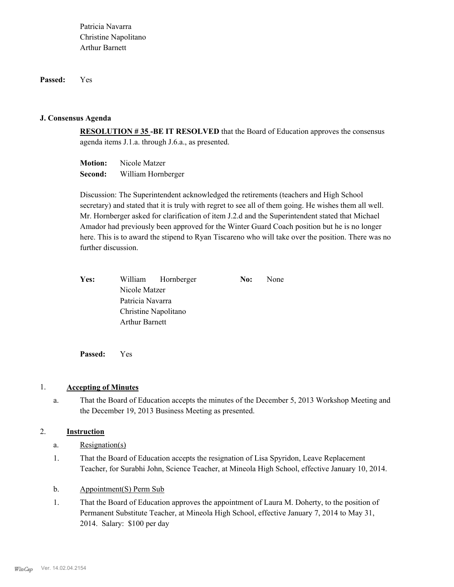**Passed:** Yes

#### **J. Consensus Agenda**

**RESOLUTION # 35 -BE IT RESOLVED** that the Board of Education approves the consensus agenda items J.1.a. through J.6.a., as presented.

**Motion:** Nicole Matzer **Second:** William Hornberger

Discussion: The Superintendent acknowledged the retirements (teachers and High School secretary) and stated that it is truly with regret to see all of them going. He wishes them all well. Mr. Hornberger asked for clarification of item J.2.d and the Superintendent stated that Michael Amador had previously been approved for the Winter Guard Coach position but he is no longer here. This is to award the stipend to Ryan Tiscareno who will take over the position. There was no further discussion.

| Yes: |                       | William Hornberger   | No: | None |
|------|-----------------------|----------------------|-----|------|
|      | Nicole Matzer         |                      |     |      |
|      | Patricia Navarra      |                      |     |      |
|      |                       | Christine Napolitano |     |      |
|      | <b>Arthur Barnett</b> |                      |     |      |
|      |                       |                      |     |      |

**Passed:** Yes

#### 1. **Accepting of Minutes**

That the Board of Education accepts the minutes of the December 5, 2013 Workshop Meeting and the December 19, 2013 Business Meeting as presented. a.

## 2. **Instruction**

- a. Resignation(s)
- That the Board of Education accepts the resignation of Lisa Spyridon, Leave Replacement Teacher, for Surabhi John, Science Teacher, at Mineola High School, effective January 10, 2014. 1.
- b. Appointment(S) Perm Sub
- That the Board of Education approves the appointment of Laura M. Doherty, to the position of Permanent Substitute Teacher, at Mineola High School, effective January 7, 2014 to May 31, 2014. Salary: \$100 per day 1.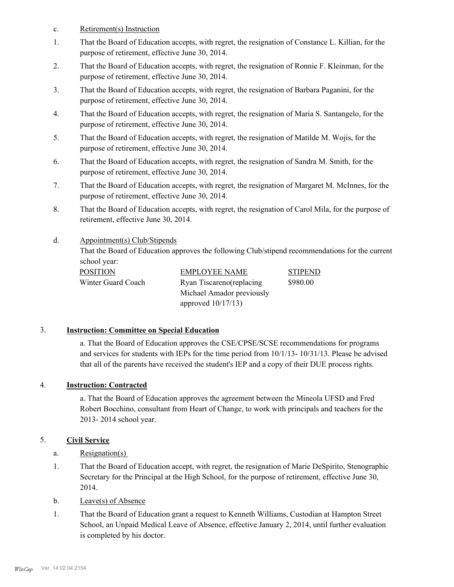- c. Retirement(s) Instruction
- That the Board of Education accepts, with regret, the resignation of Constance L. Killian, for the purpose of retirement, effective June 30, 2014. 1.
- That the Board of Education accepts, with regret, the resignation of Ronnie F. Kleinman, for the purpose of retirement, effective June 30, 2014. 2.
- That the Board of Education accepts, with regret, the resignation of Barbara Paganini, for the purpose of retirement, effective June 30, 2014. 3.
- That the Board of Education accepts, with regret, the resignation of Maria S. Santangelo, for the purpose of retirement, effective June 30, 2014. 4.
- That the Board of Education accepts, with regret, the resignation of Matilde M. Wojis, for the purpose of retirement, effective June 30, 2014. 5.
- That the Board of Education accepts, with regret, the resignation of Sandra M. Smith, for the purpose of retirement, effective June 30, 2014. 6.
- That the Board of Education accepts, with regret, the resignation of Margaret M. McInnes, for the purpose of retirement, effective June 30, 2014. 7.
- That the Board of Education accepts, with regret, the resignation of Carol Mila, for the purpose of retirement, effective June 30, 2014. 8.

#### Appointment(s) Club/Stipends d.

That the Board of Education approves the following Club/stipend recommendations for the current school year:

| POSITION           |
|--------------------|
| Winter Guard Coach |

EMPLOYEE NAME STIPEND Ryan Tiscareno(replacing Michael Amador previously approved 10/17/13)

\$980.00

# 3. **Instruction: Committee on Special Education**

a. That the Board of Education approves the CSE/CPSE/SCSE recommendations for programs and services for students with IEPs for the time period from 10/1/13- 10/31/13. Please be advised that all of the parents have received the student's IEP and a copy of their DUE process rights.

# 4. **Instruction: Contracted**

a. That the Board of Education approves the agreement between the Mineola UFSD and Fred Robert Bocchino, consultant from Heart of Change, to work with principals and teachers for the 2013- 2014 school year.

# 5. **Civil Service**

- a. Resignation(s)
- That the Board of Education accept, with regret, the resignation of Marie DeSpirito, Stenographic Secretary for the Principal at the High School, for the purpose of retirement, effective June 30, 2014. 1.
- b. Leave(s) of Absence
- That the Board of Education grant a request to Kenneth Williams, Custodian at Hampton Street School, an Unpaid Medical Leave of Absence, effective January 2, 2014, until further evaluation is completed by his doctor. 1.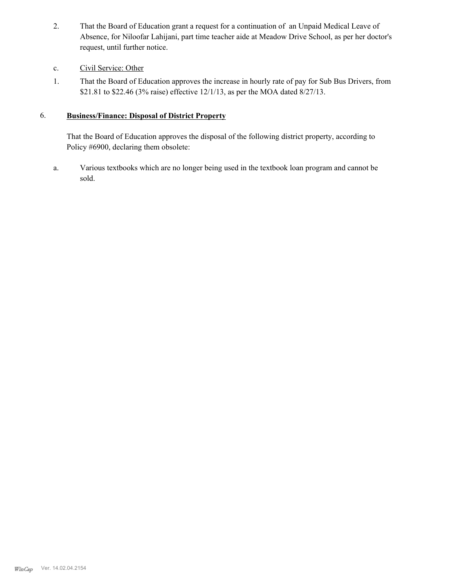That the Board of Education grant a request for a continuation of an Unpaid Medical Leave of Absence, for Niloofar Lahijani, part time teacher aide at Meadow Drive School, as per her doctor's request, until further notice. 2.

# c. Civil Service: Other

That the Board of Education approves the increase in hourly rate of pay for Sub Bus Drivers, from \$21.81 to \$22.46 (3% raise) effective 12/1/13, as per the MOA dated 8/27/13. 1.

#### **Business/Finance: Disposal of District Property** 6.

That the Board of Education approves the disposal of the following district property, according to Policy #6900, declaring them obsolete:

Various textbooks which are no longer being used in the textbook loan program and cannot be sold. a.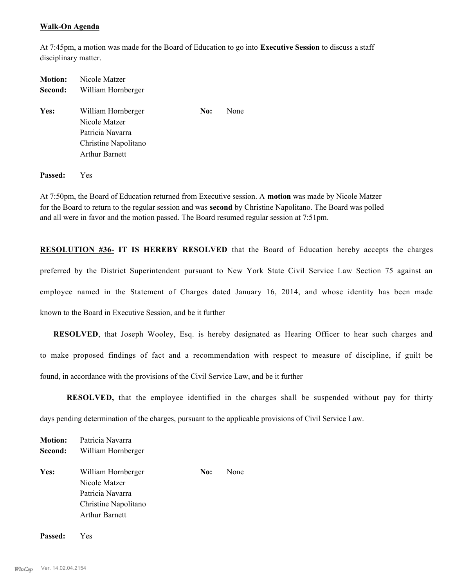#### **Walk-On Agenda**

At 7:45pm, a motion was made for the Board of Education to go into **Executive Session** to discuss a staff disciplinary matter.

| <b>Motion:</b> | Nicole Matzer                                                                                            |     |      |
|----------------|----------------------------------------------------------------------------------------------------------|-----|------|
| Second:        | William Hornberger                                                                                       |     |      |
| Yes:           | William Hornberger<br>Nicole Matzer<br>Patricia Navarra<br>Christine Napolitano<br><b>Arthur Barnett</b> | No: | None |
|                |                                                                                                          |     |      |

**Passed:** Yes

At 7:50pm, the Board of Education returned from Executive session. A **motion** was made by Nicole Matzer for the Board to return to the regular session and was **second** by Christine Napolitano. The Board was polled and all were in favor and the motion passed. The Board resumed regular session at 7:51pm.

**RESOLUTION #36- IT IS HEREBY RESOLVED** that the Board of Education hereby accepts the charges preferred by the District Superintendent pursuant to New York State Civil Service Law Section 75 against an employee named in the Statement of Charges dated January 16, 2014, and whose identity has been made known to the Board in Executive Session, and be it further

**RESOLVED**, that Joseph Wooley, Esq. is hereby designated as Hearing Officer to hear such charges and to make proposed findings of fact and a recommendation with respect to measure of discipline, if guilt be found, in accordance with the provisions of the Civil Service Law, and be it further

**RESOLVED,** that the employee identified in the charges shall be suspended without pay for thirty days pending determination of the charges, pursuant to the applicable provisions of Civil Service Law.

**Motion:** Patricia Navarra **Second:** William Hornberger Yes: William Hornberger **No:** None Nicole Matzer Patricia Navarra Christine Napolitano Arthur Barnett

**Passed:** Yes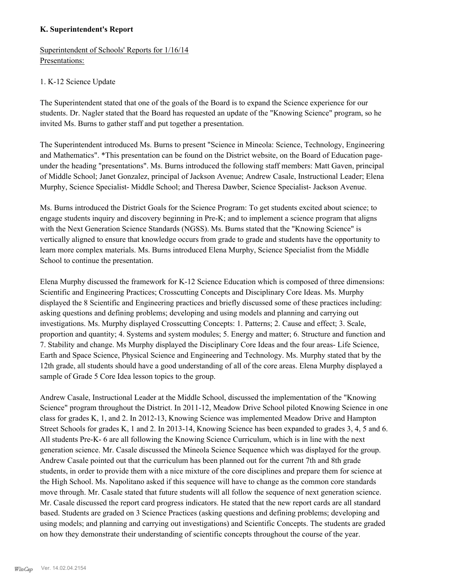## **K. Superintendent's Report**

Superintendent of Schools' Reports for 1/16/14 Presentations:

#### 1. K-12 Science Update

The Superintendent stated that one of the goals of the Board is to expand the Science experience for our students. Dr. Nagler stated that the Board has requested an update of the "Knowing Science" program, so he invited Ms. Burns to gather staff and put together a presentation.

The Superintendent introduced Ms. Burns to present "Science in Mineola: Science, Technology, Engineering and Mathematics". \*This presentation can be found on the District website, on the Board of Education pageunder the heading "presentations". Ms. Burns introduced the following staff members: Matt Gaven, principal of Middle School; Janet Gonzalez, principal of Jackson Avenue; Andrew Casale, Instructional Leader; Elena Murphy, Science Specialist- Middle School; and Theresa Dawber, Science Specialist- Jackson Avenue.

Ms. Burns introduced the District Goals for the Science Program: To get students excited about science; to engage students inquiry and discovery beginning in Pre-K; and to implement a science program that aligns with the Next Generation Science Standards (NGSS). Ms. Burns stated that the "Knowing Science" is vertically aligned to ensure that knowledge occurs from grade to grade and students have the opportunity to learn more complex materials. Ms. Burns introduced Elena Murphy, Science Specialist from the Middle School to continue the presentation.

Elena Murphy discussed the framework for K-12 Science Education which is composed of three dimensions: Scientific and Engineering Practices; Crosscutting Concepts and Disciplinary Core Ideas. Ms. Murphy displayed the 8 Scientific and Engineering practices and briefly discussed some of these practices including: asking questions and defining problems; developing and using models and planning and carrying out investigations. Ms. Murphy displayed Crosscutting Concepts: 1. Patterns; 2. Cause and effect; 3. Scale, proportion and quantity; 4. Systems and system modules; 5. Energy and matter; 6. Structure and function and 7. Stability and change. Ms Murphy displayed the Disciplinary Core Ideas and the four areas- Life Science, Earth and Space Science, Physical Science and Engineering and Technology. Ms. Murphy stated that by the 12th grade, all students should have a good understanding of all of the core areas. Elena Murphy displayed a sample of Grade 5 Core Idea lesson topics to the group.

Andrew Casale, Instructional Leader at the Middle School, discussed the implementation of the "Knowing Science" program throughout the District. In 2011-12, Meadow Drive School piloted Knowing Science in one class for grades K, 1, and 2. In 2012-13, Knowing Science was implemented Meadow Drive and Hampton Street Schools for grades K, 1 and 2. In 2013-14, Knowing Science has been expanded to grades 3, 4, 5 and 6. All students Pre-K- 6 are all following the Knowing Science Curriculum, which is in line with the next generation science. Mr. Casale discussed the Mineola Science Sequence which was displayed for the group. Andrew Casale pointed out that the curriculum has been planned out for the current 7th and 8th grade students, in order to provide them with a nice mixture of the core disciplines and prepare them for science at the High School. Ms. Napolitano asked if this sequence will have to change as the common core standards move through. Mr. Casale stated that future students will all follow the sequence of next generation science. Mr. Casale discussed the report card progress indicators. He stated that the new report cards are all standard based. Students are graded on 3 Science Practices (asking questions and defining problems; developing and using models; and planning and carrying out investigations) and Scientific Concepts. The students are graded on how they demonstrate their understanding of scientific concepts throughout the course of the year.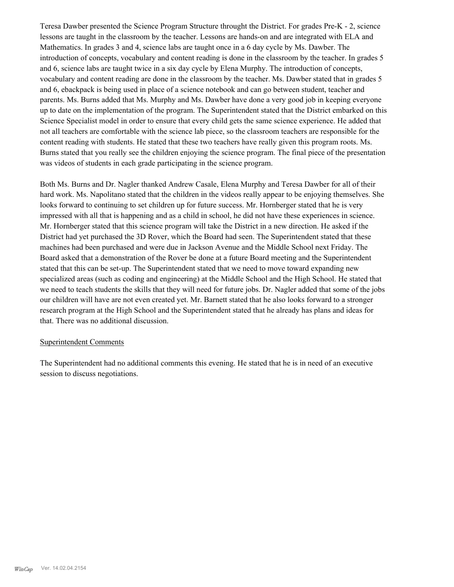Teresa Dawber presented the Science Program Structure throught the District. For grades Pre-K - 2, science lessons are taught in the classroom by the teacher. Lessons are hands-on and are integrated with ELA and Mathematics. In grades 3 and 4, science labs are taught once in a 6 day cycle by Ms. Dawber. The introduction of concepts, vocabulary and content reading is done in the classroom by the teacher. In grades 5 and 6, science labs are taught twice in a six day cycle by Elena Murphy. The introduction of concepts, vocabulary and content reading are done in the classroom by the teacher. Ms. Dawber stated that in grades 5 and 6, ebackpack is being used in place of a science notebook and can go between student, teacher and parents. Ms. Burns added that Ms. Murphy and Ms. Dawber have done a very good job in keeping everyone up to date on the implementation of the program. The Superintendent stated that the District embarked on this Science Specialist model in order to ensure that every child gets the same science experience. He added that not all teachers are comfortable with the science lab piece, so the classroom teachers are responsible for the content reading with students. He stated that these two teachers have really given this program roots. Ms. Burns stated that you really see the children enjoying the science program. The final piece of the presentation was videos of students in each grade participating in the science program.

Both Ms. Burns and Dr. Nagler thanked Andrew Casale, Elena Murphy and Teresa Dawber for all of their hard work. Ms. Napolitano stated that the children in the videos really appear to be enjoying themselves. She looks forward to continuing to set children up for future success. Mr. Hornberger stated that he is very impressed with all that is happening and as a child in school, he did not have these experiences in science. Mr. Hornberger stated that this science program will take the District in a new direction. He asked if the District had yet purchased the 3D Rover, which the Board had seen. The Superintendent stated that these machines had been purchased and were due in Jackson Avenue and the Middle School next Friday. The Board asked that a demonstration of the Rover be done at a future Board meeting and the Superintendent stated that this can be set-up. The Superintendent stated that we need to move toward expanding new specialized areas (such as coding and engineering) at the Middle School and the High School. He stated that we need to teach students the skills that they will need for future jobs. Dr. Nagler added that some of the jobs our children will have are not even created yet. Mr. Barnett stated that he also looks forward to a stronger research program at the High School and the Superintendent stated that he already has plans and ideas for that. There was no additional discussion.

#### Superintendent Comments

The Superintendent had no additional comments this evening. He stated that he is in need of an executive session to discuss negotiations.